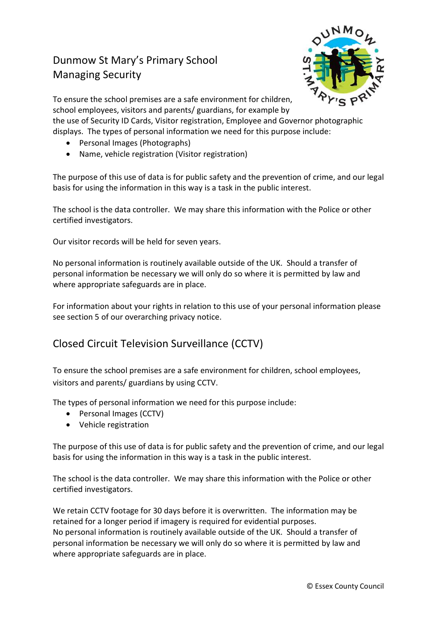## Dunmow St Mary's Primary School Managing Security



To ensure the school premises are a safe environment for children, school employees, visitors and parents/ guardians, for example by

the use of Security ID Cards, Visitor registration, Employee and Governor photographic displays. The types of personal information we need for this purpose include:

- Personal Images (Photographs)
- Name, vehicle registration (Visitor registration)

The purpose of this use of data is for public safety and the prevention of crime, and our legal basis for using the information in this way is a task in the public interest.

The school is the data controller. We may share this information with the Police or other certified investigators.

Our visitor records will be held for seven years.

No personal information is routinely available outside of the UK. Should a transfer of personal information be necessary we will only do so where it is permitted by law and where appropriate safeguards are in place.

For information about your rights in relation to this use of your personal information please see section 5 of our overarching privacy notice.

## Closed Circuit Television Surveillance (CCTV)

To ensure the school premises are a safe environment for children, school employees, visitors and parents/ guardians by using CCTV.

The types of personal information we need for this purpose include:

- Personal Images (CCTV)
- Vehicle registration

The purpose of this use of data is for public safety and the prevention of crime, and our legal basis for using the information in this way is a task in the public interest.

The school is the data controller. We may share this information with the Police or other certified investigators.

We retain CCTV footage for 30 days before it is overwritten. The information may be retained for a longer period if imagery is required for evidential purposes. No personal information is routinely available outside of the UK. Should a transfer of personal information be necessary we will only do so where it is permitted by law and where appropriate safeguards are in place.